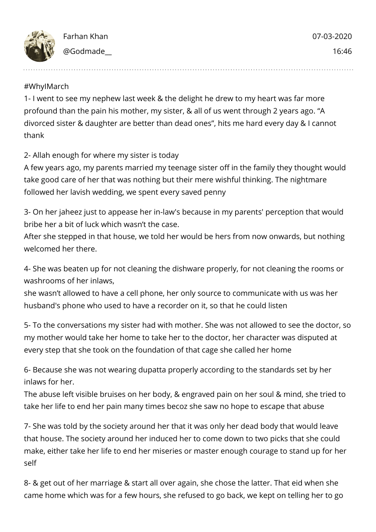

## #WhyIMarch

1- I went to see my nephew last week & the delight he drew to my heart was far more profound than the pain his mother, my sister, & all of us went through 2 years ago. "A divorced sister & daughter are better than dead ones", hits me hard every day & I cannot thank

## 2- Allah enough for where my sister is today

A few years ago, my parents married my teenage sister off in the family they thought would take good care of her that was nothing but their mere wishful thinking. The nightmare followed her lavish wedding, we spent every saved penny

3- On her jaheez just to appease her in-law's because in my parents' perception that would bribe her a bit of luck which wasn't the case.

After she stepped in that house, we told her would be hers from now onwards, but nothing welcomed her there.

4- She was beaten up for not cleaning the dishware properly, for not cleaning the rooms or washrooms of her inlaws,

she wasn't allowed to have a cell phone, her only source to communicate with us was her husband's phone who used to have a recorder on it, so that he could listen

5- To the conversations my sister had with mother. She was not allowed to see the doctor, so my mother would take her home to take her to the doctor, her character was disputed at every step that she took on the foundation of that cage she called her home

6- Because she was not wearing dupatta properly according to the standards set by her inlaws for her.

The abuse left visible bruises on her body, & engraved pain on her soul & mind, she tried to take her life to end her pain many times becoz she saw no hope to escape that abuse

7- She was told by the society around her that it was only her dead body that would leave that house. The society around her induced her to come down to two picks that she could make, either take her life to end her miseries or master enough courage to stand up for her self

8- & get out of her marriage & start all over again, she chose the latter. That eid when she came home which was for a few hours, she refused to go back, we kept on telling her to go